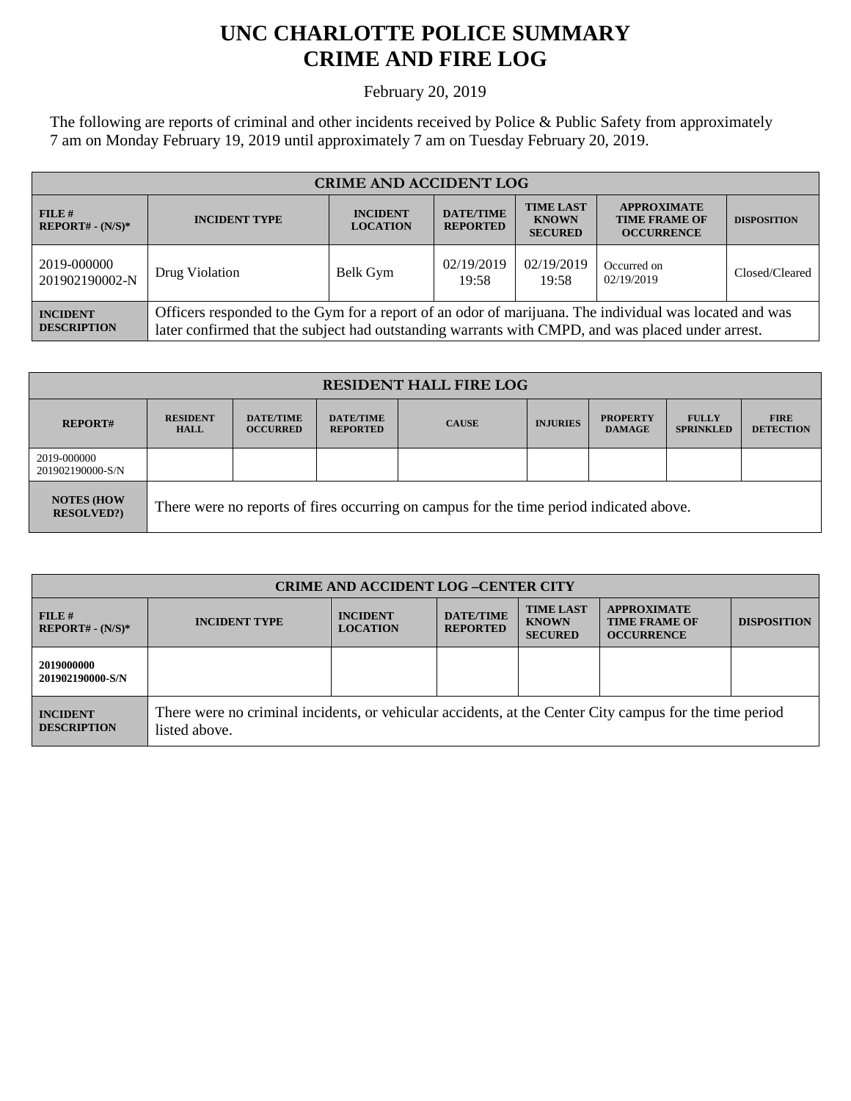## **UNC CHARLOTTE POLICE SUMMARY CRIME AND FIRE LOG**

February 20, 2019

The following are reports of criminal and other incidents received by Police & Public Safety from approximately 7 am on Monday February 19, 2019 until approximately 7 am on Tuesday February 20, 2019.

| <b>CRIME AND ACCIDENT LOG</b>         |                                                                                                                                                                                                             |                                    |                                     |                                                    |                                                                 |                    |
|---------------------------------------|-------------------------------------------------------------------------------------------------------------------------------------------------------------------------------------------------------------|------------------------------------|-------------------------------------|----------------------------------------------------|-----------------------------------------------------------------|--------------------|
| $FILE$ #<br>$REPORT# - (N/S)*$        | <b>INCIDENT TYPE</b>                                                                                                                                                                                        | <b>INCIDENT</b><br><b>LOCATION</b> | <b>DATE/TIME</b><br><b>REPORTED</b> | <b>TIME LAST</b><br><b>KNOWN</b><br><b>SECURED</b> | <b>APPROXIMATE</b><br><b>TIME FRAME OF</b><br><b>OCCURRENCE</b> | <b>DISPOSITION</b> |
| 2019-000000<br>201902190002-N         | Drug Violation                                                                                                                                                                                              | Belk Gym                           | 02/19/2019<br>19:58                 | 02/19/2019<br>19:58                                | Occurred on<br>02/19/2019                                       | Closed/Cleared     |
| <b>INCIDENT</b><br><b>DESCRIPTION</b> | Officers responded to the Gym for a report of an odor of marijuana. The individual was located and was<br>later confirmed that the subject had outstanding warrants with CMPD, and was placed under arrest. |                                    |                                     |                                                    |                                                                 |                    |

| <b>RESIDENT HALL FIRE LOG</b>         |                                                                                         |                                     |                                     |              |                 |                                  |                                  |                                 |
|---------------------------------------|-----------------------------------------------------------------------------------------|-------------------------------------|-------------------------------------|--------------|-----------------|----------------------------------|----------------------------------|---------------------------------|
| <b>REPORT#</b>                        | <b>RESIDENT</b><br><b>HALL</b>                                                          | <b>DATE/TIME</b><br><b>OCCURRED</b> | <b>DATE/TIME</b><br><b>REPORTED</b> | <b>CAUSE</b> | <b>INJURIES</b> | <b>PROPERTY</b><br><b>DAMAGE</b> | <b>FULLY</b><br><b>SPRINKLED</b> | <b>FIRE</b><br><b>DETECTION</b> |
| 2019-000000<br>201902190000-S/N       |                                                                                         |                                     |                                     |              |                 |                                  |                                  |                                 |
| <b>NOTES (HOW</b><br><b>RESOLVED?</b> | There were no reports of fires occurring on campus for the time period indicated above. |                                     |                                     |              |                 |                                  |                                  |                                 |

| <b>CRIME AND ACCIDENT LOG-CENTER CITY</b> |                                                                                                                          |                                    |                                     |                                                    |                                                                 |                    |
|-------------------------------------------|--------------------------------------------------------------------------------------------------------------------------|------------------------------------|-------------------------------------|----------------------------------------------------|-----------------------------------------------------------------|--------------------|
| FILE H<br>$REPORT# - (N/S)*$              | <b>INCIDENT TYPE</b>                                                                                                     | <b>INCIDENT</b><br><b>LOCATION</b> | <b>DATE/TIME</b><br><b>REPORTED</b> | <b>TIME LAST</b><br><b>KNOWN</b><br><b>SECURED</b> | <b>APPROXIMATE</b><br><b>TIME FRAME OF</b><br><b>OCCURRENCE</b> | <b>DISPOSITION</b> |
| 2019000000<br>201902190000-S/N            |                                                                                                                          |                                    |                                     |                                                    |                                                                 |                    |
| <b>INCIDENT</b><br><b>DESCRIPTION</b>     | There were no criminal incidents, or vehicular accidents, at the Center City campus for the time period<br>listed above. |                                    |                                     |                                                    |                                                                 |                    |